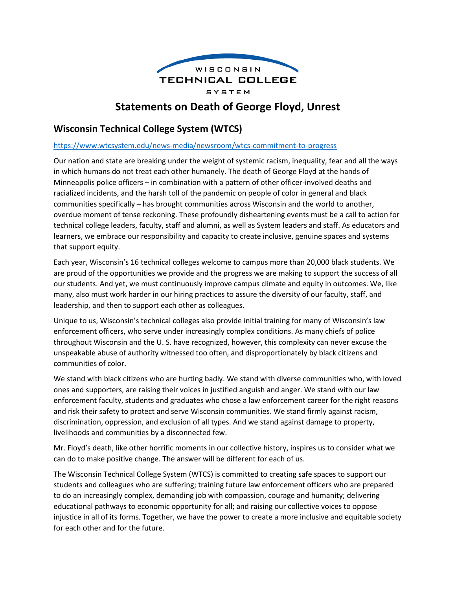

# **Statements on Death of George Floyd, Unrest**

## **Wisconsin Technical College System (WTCS)**

#### <https://www.wtcsystem.edu/news-media/newsroom/wtcs-commitment-to-progress>

Our nation and state are breaking under the weight of systemic racism, inequality, fear and all the ways in which humans do not treat each other humanely. The death of George Floyd at the hands of Minneapolis police officers – in combination with a pattern of other officer-involved deaths and racialized incidents, and the harsh toll of the pandemic on people of color in general and black communities specifically – has brought communities across Wisconsin and the world to another, overdue moment of tense reckoning. These profoundly disheartening events must be a call to action for technical college leaders, faculty, staff and alumni, as well as System leaders and staff. As educators and learners, we embrace our responsibility and capacity to create inclusive, genuine spaces and systems that support equity.

Each year, Wisconsin's 16 technical colleges welcome to campus more than 20,000 black students. We are proud of the opportunities we provide and the progress we are making to support the success of all our students. And yet, we must continuously improve campus climate and equity in outcomes. We, like many, also must work harder in our hiring practices to assure the diversity of our faculty, staff, and leadership, and then to support each other as colleagues.

Unique to us, Wisconsin's technical colleges also provide initial training for many of Wisconsin's law enforcement officers, who serve under increasingly complex conditions. As many chiefs of police throughout Wisconsin and the U. S. have recognized, however, this complexity can never excuse the unspeakable abuse of authority witnessed too often, and disproportionately by black citizens and communities of color.

We stand with black citizens who are hurting badly. We stand with diverse communities who, with loved ones and supporters, are raising their voices in justified anguish and anger. We stand with our law enforcement faculty, students and graduates who chose a law enforcement career for the right reasons and risk their safety to protect and serve Wisconsin communities. We stand firmly against racism, discrimination, oppression, and exclusion of all types. And we stand against damage to property, livelihoods and communities by a disconnected few.

Mr. Floyd's death, like other horrific moments in our collective history, inspires us to consider what we can do to make positive change. The answer will be different for each of us.

The Wisconsin Technical College System (WTCS) is committed to creating safe spaces to support our students and colleagues who are suffering; training future law enforcement officers who are prepared to do an increasingly complex, demanding job with compassion, courage and humanity; delivering educational pathways to economic opportunity for all; and raising our collective voices to oppose injustice in all of its forms. Together, we have the power to create a more inclusive and equitable society for each other and for the future.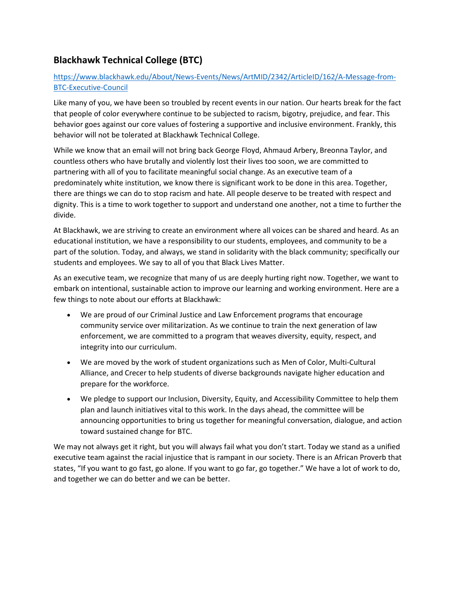# **Blackhawk Technical College (BTC)**

### [https://www.blackhawk.edu/About/News-Events/News/ArtMID/2342/ArticleID/162/A-Message-from-](https://www.blackhawk.edu/About/News-Events/News/ArtMID/2342/ArticleID/162/A-Message-from-BTC-Executive-Council)[BTC-Executive-Council](https://www.blackhawk.edu/About/News-Events/News/ArtMID/2342/ArticleID/162/A-Message-from-BTC-Executive-Council)

Like many of you, we have been so troubled by recent events in our nation. Our hearts break for the fact that people of color everywhere continue to be subjected to racism, bigotry, prejudice, and fear. This behavior goes against our core values of fostering a supportive and inclusive environment. Frankly, this behavior will not be tolerated at Blackhawk Technical College.

While we know that an email will not bring back George Floyd, Ahmaud Arbery, Breonna Taylor, and countless others who have brutally and violently lost their lives too soon, we are committed to partnering with all of you to facilitate meaningful social change. As an executive team of a predominately white institution, we know there is significant work to be done in this area. Together, there are things we can do to stop racism and hate. All people deserve to be treated with respect and dignity. This is a time to work together to support and understand one another, not a time to further the divide.

At Blackhawk, we are striving to create an environment where all voices can be shared and heard. As an educational institution, we have a responsibility to our students, employees, and community to be a part of the solution. Today, and always, we stand in solidarity with the black community; specifically our students and employees. We say to all of you that Black Lives Matter.

As an executive team, we recognize that many of us are deeply hurting right now. Together, we want to embark on intentional, sustainable action to improve our learning and working environment. Here are a few things to note about our efforts at Blackhawk:

- We are proud of our Criminal Justice and Law Enforcement programs that encourage community service over militarization. As we continue to train the next generation of law enforcement, we are committed to a program that weaves diversity, equity, respect, and integrity into our curriculum.
- We are moved by the work of student organizations such as Men of Color, Multi-Cultural Alliance, and Crecer to help students of diverse backgrounds navigate higher education and prepare for the workforce.
- We pledge to support our Inclusion, Diversity, Equity, and Accessibility Committee to help them plan and launch initiatives vital to this work. In the days ahead, the committee will be announcing opportunities to bring us together for meaningful conversation, dialogue, and action toward sustained change for BTC.

We may not always get it right, but you will always fail what you don't start. Today we stand as a unified executive team against the racial injustice that is rampant in our society. There is an African Proverb that states, "If you want to go fast, go alone. If you want to go far, go together." We have a lot of work to do, and together we can do better and we can be better.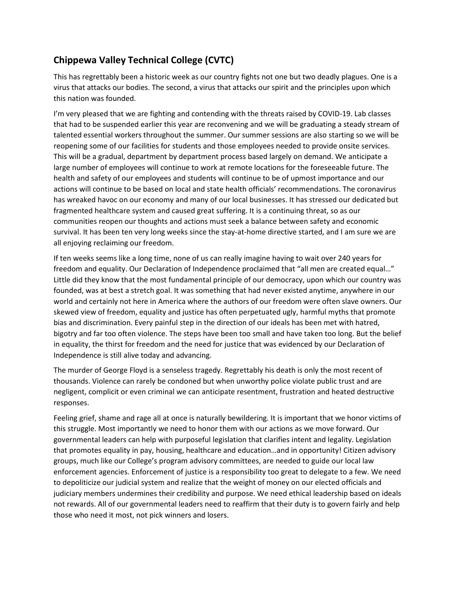# **Chippewa Valley Technical College (CVTC)**

This has regrettably been a historic week as our country fights not one but two deadly plagues. One is a virus that attacks our bodies. The second, a virus that attacks our spirit and the principles upon which this nation was founded.

I'm very pleased that we are fighting and contending with the threats raised by COVID-19. Lab classes that had to be suspended earlier this year are reconvening and we will be graduating a steady stream of talented essential workers throughout the summer. Our summer sessions are also starting so we will be reopening some of our facilities for students and those employees needed to provide onsite services. This will be a gradual, department by department process based largely on demand. We anticipate a large number of employees will continue to work at remote locations for the foreseeable future. The health and safety of our employees and students will continue to be of upmost importance and our actions will continue to be based on local and state health officials' recommendations. The coronavirus has wreaked havoc on our economy and many of our local businesses. It has stressed our dedicated but fragmented healthcare system and caused great suffering. It is a continuing threat, so as our communities reopen our thoughts and actions must seek a balance between safety and economic survival. It has been ten very long weeks since the stay-at-home directive started, and I am sure we are all enjoying reclaiming our freedom.

If ten weeks seems like a long time, none of us can really imagine having to wait over 240 years for freedom and equality. Our Declaration of Independence proclaimed that "all men are created equal…" Little did they know that the most fundamental principle of our democracy, upon which our country was founded, was at best a stretch goal. It was something that had never existed anytime, anywhere in our world and certainly not here in America where the authors of our freedom were often slave owners. Our skewed view of freedom, equality and justice has often perpetuated ugly, harmful myths that promote bias and discrimination. Every painful step in the direction of our ideals has been met with hatred, bigotry and far too often violence. The steps have been too small and have taken too long. But the belief in equality, the thirst for freedom and the need for justice that was evidenced by our Declaration of Independence is still alive today and advancing.

The murder of George Floyd is a senseless tragedy. Regrettably his death is only the most recent of thousands. Violence can rarely be condoned but when unworthy police violate public trust and are negligent, complicit or even criminal we can anticipate resentment, frustration and heated destructive responses.

Feeling grief, shame and rage all at once is naturally bewildering. It is important that we honor victims of this struggle. Most importantly we need to honor them with our actions as we move forward. Our governmental leaders can help with purposeful legislation that clarifies intent and legality. Legislation that promotes equality in pay, housing, healthcare and education…and in opportunity! Citizen advisory groups, much like our College's program advisory committees, are needed to guide our local law enforcement agencies. Enforcement of justice is a responsibility too great to delegate to a few. We need to depoliticize our judicial system and realize that the weight of money on our elected officials and judiciary members undermines their credibility and purpose. We need ethical leadership based on ideals not rewards. All of our governmental leaders need to reaffirm that their duty is to govern fairly and help those who need it most, not pick winners and losers.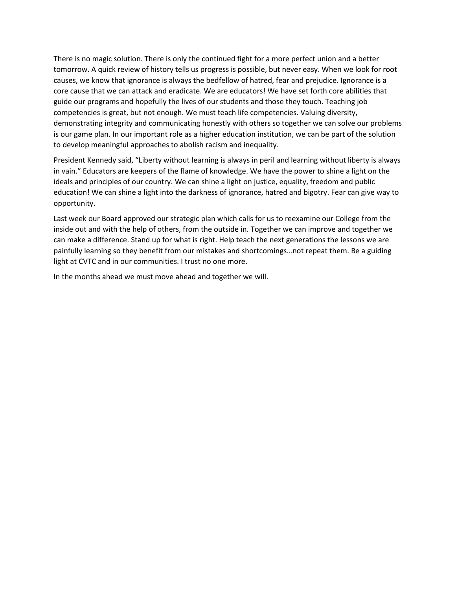There is no magic solution. There is only the continued fight for a more perfect union and a better tomorrow. A quick review of history tells us progress is possible, but never easy. When we look for root causes, we know that ignorance is always the bedfellow of hatred, fear and prejudice. Ignorance is a core cause that we can attack and eradicate. We are educators! We have set forth core abilities that guide our programs and hopefully the lives of our students and those they touch. Teaching job competencies is great, but not enough. We must teach life competencies. Valuing diversity, demonstrating integrity and communicating honestly with others so together we can solve our problems is our game plan. In our important role as a higher education institution, we can be part of the solution to develop meaningful approaches to abolish racism and inequality.

President Kennedy said, "Liberty without learning is always in peril and learning without liberty is always in vain." Educators are keepers of the flame of knowledge. We have the power to shine a light on the ideals and principles of our country. We can shine a light on justice, equality, freedom and public education! We can shine a light into the darkness of ignorance, hatred and bigotry. Fear can give way to opportunity.

Last week our Board approved our strategic plan which calls for us to reexamine our College from the inside out and with the help of others, from the outside in. Together we can improve and together we can make a difference. Stand up for what is right. Help teach the next generations the lessons we are painfully learning so they benefit from our mistakes and shortcomings…not repeat them. Be a guiding light at CVTC and in our communities. I trust no one more.

In the months ahead we must move ahead and together we will.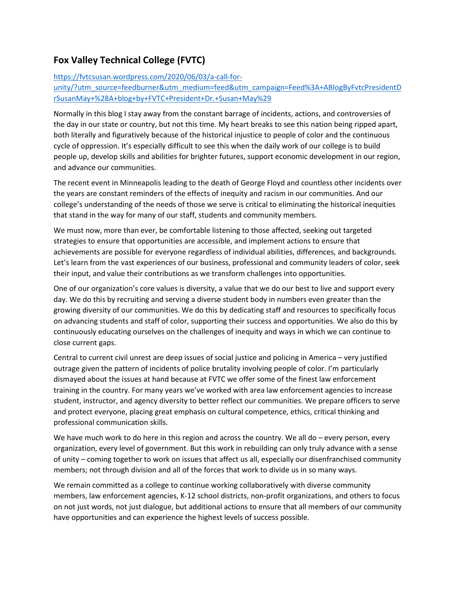## **Fox Valley Technical College (FVTC)**

#### [https://fvtcsusan.wordpress.com/2020/06/03/a-call-for-](https://fvtcsusan.wordpress.com/2020/06/03/a-call-for-unity/?utm_source=feedburner&utm_medium=feed&utm_campaign=Feed%3A+ABlogByFvtcPresidentDrSusanMay+%28A+blog+by+FVTC+President+Dr.+Susan+May%29)

[unity/?utm\\_source=feedburner&utm\\_medium=feed&utm\\_campaign=Feed%3A+ABlogByFvtcPresidentD](https://fvtcsusan.wordpress.com/2020/06/03/a-call-for-unity/?utm_source=feedburner&utm_medium=feed&utm_campaign=Feed%3A+ABlogByFvtcPresidentDrSusanMay+%28A+blog+by+FVTC+President+Dr.+Susan+May%29) [rSusanMay+%28A+blog+by+FVTC+President+Dr.+Susan+May%29](https://fvtcsusan.wordpress.com/2020/06/03/a-call-for-unity/?utm_source=feedburner&utm_medium=feed&utm_campaign=Feed%3A+ABlogByFvtcPresidentDrSusanMay+%28A+blog+by+FVTC+President+Dr.+Susan+May%29)

Normally in this blog I stay away from the constant barrage of incidents, actions, and controversies of the day in our state or country, but not this time. My heart breaks to see this nation being ripped apart, both literally and figuratively because of the historical injustice to people of color and the continuous cycle of oppression. It's especially difficult to see this when the daily work of our college is to build people up, develop skills and abilities for brighter futures, support economic development in our region, and advance our communities.

The recent event in Minneapolis leading to the death of George Floyd and countless other incidents over the years are constant reminders of the effects of inequity and racism in our communities. And our college's understanding of the needs of those we serve is critical to eliminating the historical inequities that stand in the way for many of our staff, students and community members.

We must now, more than ever, be comfortable listening to those affected, seeking out targeted strategies to ensure that opportunities are accessible, and implement actions to ensure that achievements are possible for everyone regardless of individual abilities, differences, and backgrounds. Let's learn from the vast experiences of our business, professional and community leaders of color, seek their input, and value their contributions as we transform challenges into opportunities.

One of our organization's core values is diversity, a value that we do our best to live and support every day. We do this by recruiting and serving a diverse student body in numbers even greater than the growing diversity of our communities. We do this by dedicating staff and resources to specifically focus on advancing students and staff of color, supporting their success and opportunities. We also do this by continuously educating ourselves on the challenges of inequity and ways in which we can continue to close current gaps.

Central to current civil unrest are deep issues of social justice and policing in America – very justified outrage given the pattern of incidents of police brutality involving people of color. I'm particularly dismayed about the issues at hand because at FVTC we offer some of the finest law enforcement training in the country. For many years we've worked with area law enforcement agencies to increase student, instructor, and agency diversity to better reflect our communities. We prepare officers to serve and protect everyone, placing great emphasis on cultural competence, ethics, critical thinking and professional communication skills.

We have much work to do here in this region and across the country. We all do – every person, every organization, every level of government. But this work in rebuilding can only truly advance with a sense of unity – coming together to work on issues that affect us all, especially our disenfranchised community members; not through division and all of the forces that work to divide us in so many ways.

We remain committed as a college to continue working collaboratively with diverse community members, law enforcement agencies, K-12 school districts, non-profit organizations, and others to focus on not just words, not just dialogue, but additional actions to ensure that all members of our community have opportunities and can experience the highest levels of success possible.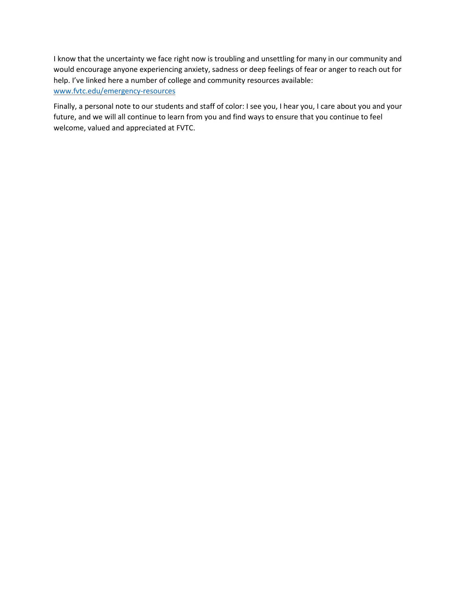I know that the uncertainty we face right now is troubling and unsettling for many in our community and would encourage anyone experiencing anxiety, sadness or deep feelings of fear or anger to reach out for help. I've linked here a number of college and community resources available: [www.fvtc.edu/emergency-resources](http://www.fvtc.edu/emergency-resources)

Finally, a personal note to our students and staff of color: I see you, I hear you, I care about you and your future, and we will all continue to learn from you and find ways to ensure that you continue to feel welcome, valued and appreciated at FVTC.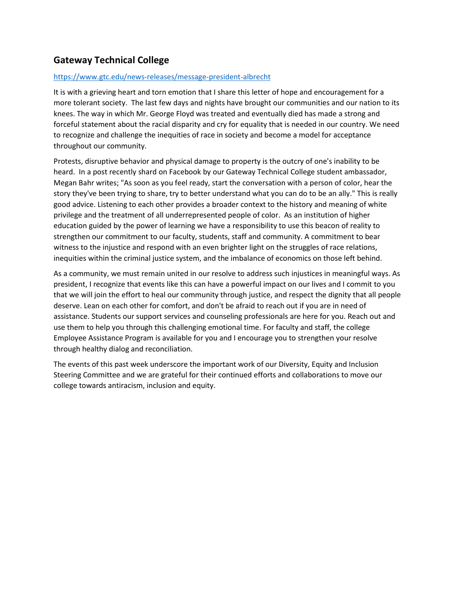## **Gateway Technical College**

#### <https://www.gtc.edu/news-releases/message-president-albrecht>

It is with a grieving heart and torn emotion that I share this letter of hope and encouragement for a more tolerant society. The last few days and nights have brought our communities and our nation to its knees. The way in which Mr. George Floyd was treated and eventually died has made a strong and forceful statement about the racial disparity and cry for equality that is needed in our country. We need to recognize and challenge the inequities of race in society and become a model for acceptance throughout our community.

Protests, disruptive behavior and physical damage to property is the outcry of one's inability to be heard. In a post recently shard on Facebook by our Gateway Technical College student ambassador, Megan Bahr writes; "As soon as you feel ready, start the conversation with a person of color, hear the story they've been trying to share, try to better understand what you can do to be an ally." This is really good advice. Listening to each other provides a broader context to the history and meaning of white privilege and the treatment of all underrepresented people of color. As an institution of higher education guided by the power of learning we have a responsibility to use this beacon of reality to strengthen our commitment to our faculty, students, staff and community. A commitment to bear witness to the injustice and respond with an even brighter light on the struggles of race relations, inequities within the criminal justice system, and the imbalance of economics on those left behind.

As a community, we must remain united in our resolve to address such injustices in meaningful ways. As president, I recognize that events like this can have a powerful impact on our lives and I commit to you that we will join the effort to heal our community through justice, and respect the dignity that all people deserve. Lean on each other for comfort, and don't be afraid to reach out if you are in need of assistance. Students our support services and counseling professionals are here for you. Reach out and use them to help you through this challenging emotional time. For faculty and staff, the college Employee Assistance Program is available for you and I encourage you to strengthen your resolve through healthy dialog and reconciliation.

The events of this past week underscore the important work of our Diversity, Equity and Inclusion Steering Committee and we are grateful for their continued efforts and collaborations to move our college towards antiracism, inclusion and equity.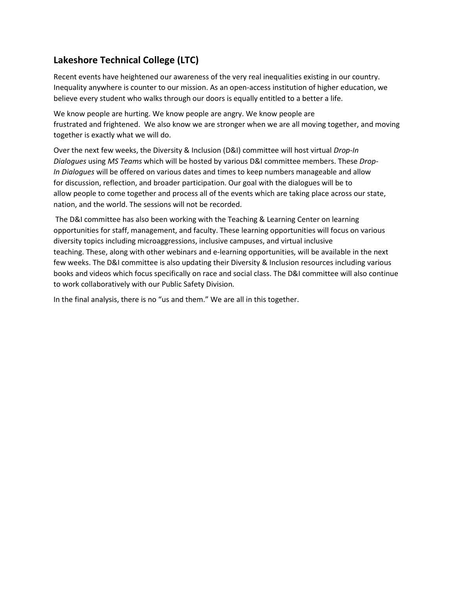# **Lakeshore Technical College (LTC)**

Recent events have heightened our awareness of the very real inequalities existing in our country. Inequality anywhere is counter to our mission. As an open-access institution of higher education, we believe every student who walks through our doors is equally entitled to a better a life.

We know people are hurting. We know people are angry. We know people are frustrated and frightened. We also know we are stronger when we are all moving together, and moving together is exactly what we will do.

Over the next few weeks, the Diversity & Inclusion (D&I) committee will host virtual *Drop-In Dialogues* using *MS Teams* which will be hosted by various D&I committee members. These *Drop-In Dialogues* will be offered on various dates and times to keep numbers manageable and allow for discussion, reflection, and broader participation. Our goal with the dialogues will be to allow people to come together and process all of the events which are taking place across our state, nation, and the world. The sessions will not be recorded.

The D&I committee has also been working with the Teaching & Learning Center on learning opportunities for staff, management, and faculty. These learning opportunities will focus on various diversity topics including microaggressions, inclusive campuses, and virtual inclusive teaching. These, along with other webinars and e-learning opportunities, will be available in the next few weeks. The D&I committee is also updating their Diversity & Inclusion resources including various books and videos which focus specifically on race and social class. The D&I committee will also continue to work collaboratively with our Public Safety Division.

In the final analysis, there is no "us and them." We are all in this together.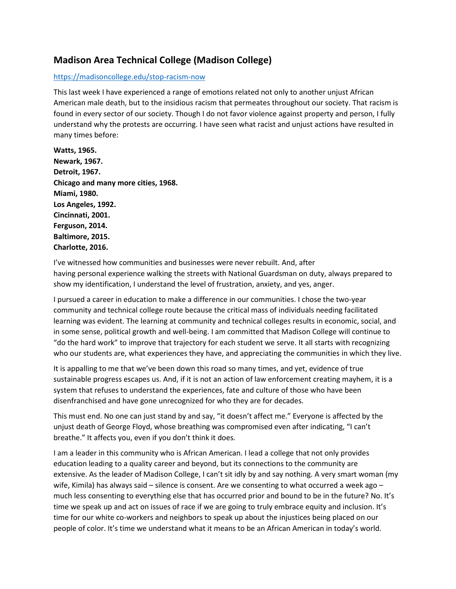## **Madison Area Technical College (Madison College)**

#### <https://madisoncollege.edu/stop-racism-now>

This last week I have experienced a range of emotions related not only to another unjust African American male death, but to the insidious racism that permeates throughout our society. That racism is found in every sector of our society. Though I do not favor violence against property and person, I fully understand why the protests are occurring. I have seen what racist and unjust actions have resulted in many times before:

**Watts, 1965. Newark, 1967. Detroit, 1967. Chicago and many more cities, 1968. Miami, 1980. Los Angeles, 1992. Cincinnati, 2001. Ferguson, 2014. Baltimore, 2015. Charlotte, 2016.**

I've witnessed how communities and businesses were never rebuilt. And, after having personal experience walking the streets with National Guardsman on duty, always prepared to show my identification, I understand the level of frustration, anxiety, and yes, anger.

I pursued a career in education to make a difference in our communities. I chose the two-year community and technical college route because the critical mass of individuals needing facilitated learning was evident. The learning at community and technical colleges results in economic, social, and in some sense, political growth and well-being. I am committed that Madison College will continue to "do the hard work" to improve that trajectory for each student we serve. It all starts with recognizing who our students are, what experiences they have, and appreciating the communities in which they live.

It is appalling to me that we've been down this road so many times, and yet, evidence of true sustainable progress escapes us. And, if it is not an action of law enforcement creating mayhem, it is a system that refuses to understand the experiences, fate and culture of those who have been disenfranchised and have gone unrecognized for who they are for decades.

This must end. No one can just stand by and say, "it doesn't affect me." Everyone is affected by the unjust death of George Floyd, whose breathing was compromised even after indicating, "I can't breathe." It affects you, even if you don't think it does.

I am a leader in this community who is African American. I lead a college that not only provides education leading to a quality career and beyond, but its connections to the community are extensive. As the leader of Madison College, I can't sit idly by and say nothing. A very smart woman (my wife, Kimila) has always said – silence is consent. Are we consenting to what occurred a week ago – much less consenting to everything else that has occurred prior and bound to be in the future? No. It's time we speak up and act on issues of race if we are going to truly embrace equity and inclusion. It's time for our white co-workers and neighbors to speak up about the injustices being placed on our people of color. It's time we understand what it means to be an African American in today's world.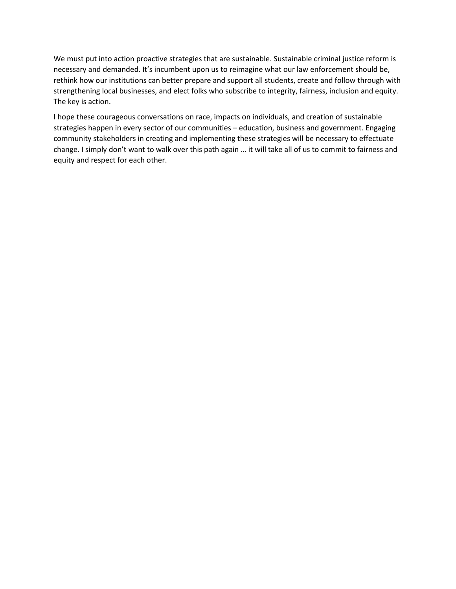We must put into action proactive strategies that are sustainable. Sustainable criminal justice reform is necessary and demanded. It's incumbent upon us to reimagine what our law enforcement should be, rethink how our institutions can better prepare and support all students, create and follow through with strengthening local businesses, and elect folks who subscribe to integrity, fairness, inclusion and equity. The key is action.

I hope these courageous conversations on race, impacts on individuals, and creation of sustainable strategies happen in every sector of our communities – education, business and government. Engaging community stakeholders in creating and implementing these strategies will be necessary to effectuate change. I simply don't want to walk over this path again … it will take all of us to commit to fairness and equity and respect for each other.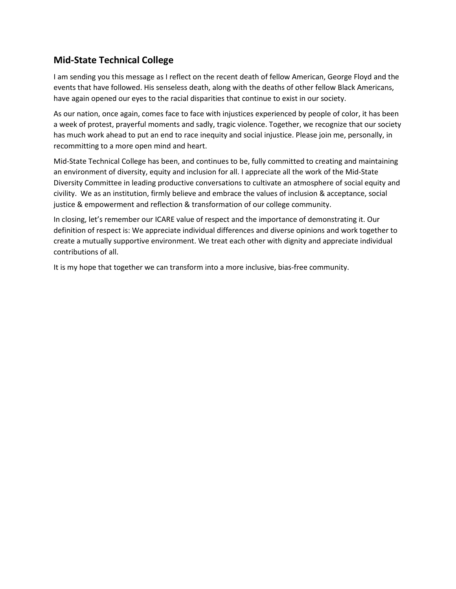## **Mid-State Technical College**

I am sending you this message as I reflect on the recent death of fellow American, George Floyd and the events that have followed. His senseless death, along with the deaths of other fellow Black Americans, have again opened our eyes to the racial disparities that continue to exist in our society.

As our nation, once again, comes face to face with injustices experienced by people of color, it has been a week of protest, prayerful moments and sadly, tragic violence. Together, we recognize that our society has much work ahead to put an end to race inequity and social injustice. Please join me, personally, in recommitting to a more open mind and heart.

Mid-State Technical College has been, and continues to be, fully committed to creating and maintaining an environment of diversity, equity and inclusion for all. I appreciate all the work of the Mid-State Diversity Committee in leading productive conversations to cultivate an atmosphere of social equity and civility. We as an institution, firmly believe and embrace the values of inclusion & acceptance, social justice & empowerment and reflection & transformation of our college community.

In closing, let's remember our ICARE value of respect and the importance of demonstrating it. Our definition of respect is: We appreciate individual differences and diverse opinions and work together to create a mutually supportive environment. We treat each other with dignity and appreciate individual contributions of all.

It is my hope that together we can transform into a more inclusive, bias-free community.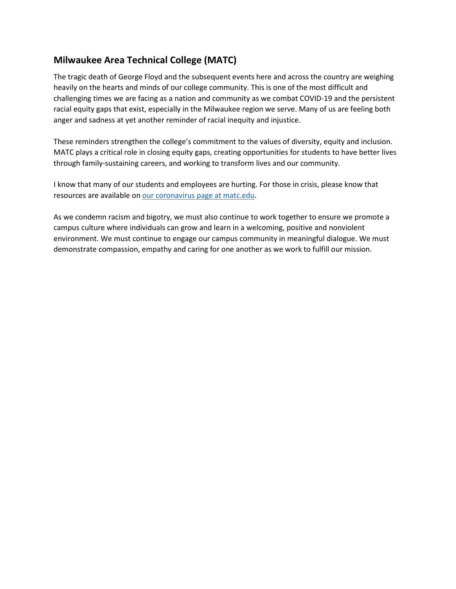## **Milwaukee Area Technical College (MATC)**

The tragic death of George Floyd and the subsequent events here and across the country are weighing heavily on the hearts and minds of our college community. This is one of the most difficult and challenging times we are facing as a nation and community as we combat COVID-19 and the persistent racial equity gaps that exist, especially in the Milwaukee region we serve. Many of us are feeling both anger and sadness at yet another reminder of racial inequity and injustice.

These reminders strengthen the college's commitment to the values of diversity, equity and inclusion. MATC plays a critical role in closing equity gaps, creating opportunities for students to have better lives through family-sustaining careers, and working to transform lives and our community.

I know that many of our students and employees are hurting. For those in crisis, please know that resources are available on [our coronavirus page at matc.edu.](https://nam04.safelinks.protection.outlook.com/?url=https%3A%2F%2Fr.pblc.it%2Fc%2F150607679%3Falt_obj%3Dhre%26method%3Demail%26url%3Dhttp%253A%252F%252Fmatc.edu%252Fcoronavirus%252Fresources.html&data=02%7C01%7Cconor.smyth%40wtcsystem.edu%7C7677687837b3427db5c608d807ca97d6%7Ccbb68fc49dc54784bfc5fd3d49dcf8bb%7C1%7C0%7C637267914003198591&sdata=UNz26%2FstvKVmFtzD8kyoxaM52YX%2FL6USDF1ypMepbHQ%3D&reserved=0)

As we condemn racism and bigotry, we must also continue to work together to ensure we promote a campus culture where individuals can grow and learn in a welcoming, positive and nonviolent environment. We must continue to engage our campus community in meaningful dialogue. We must demonstrate compassion, empathy and caring for one another as we work to fulfill our mission.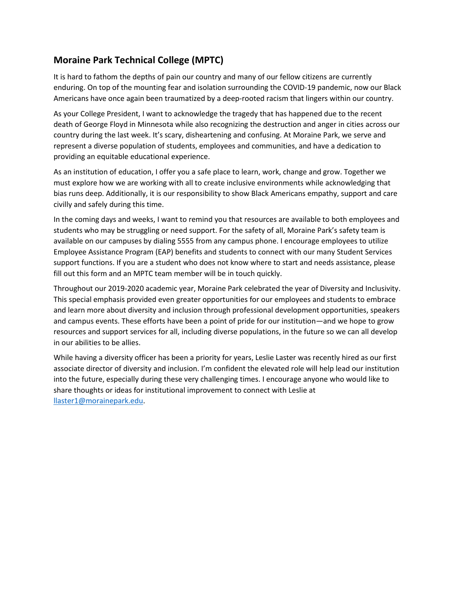# **Moraine Park Technical College (MPTC)**

It is hard to fathom the depths of pain our country and many of our fellow citizens are currently enduring. On top of the mounting fear and isolation surrounding the COVID-19 pandemic, now our Black Americans have once again been traumatized by a deep-rooted racism that lingers within our country.

As your College President, I want to acknowledge the tragedy that has happened due to the recent death of George Floyd in Minnesota while also recognizing the destruction and anger in cities across our country during the last week. It's scary, disheartening and confusing. At Moraine Park, we serve and represent a diverse population of students, employees and communities, and have a dedication to providing an equitable educational experience.

As an institution of education, I offer you a safe place to learn, work, change and grow. Together we must explore how we are working with all to create inclusive environments while acknowledging that bias runs deep. Additionally, it is our responsibility to show Black Americans empathy, support and care civilly and safely during this time.

In the coming days and weeks, I want to remind you that resources are available to both employees and students who may be struggling or need support. For the safety of all, Moraine Park's safety team is available on our campuses by dialing 5555 from any campus phone. I encourage employees to utilize Employee Assistance Program (EAP) benefits and students to connect with our many Student Services support functions. If you are a student who does not know where to start and needs assistance, please fill out this form and an MPTC team member will be in touch quickly.

Throughout our 2019-2020 academic year, Moraine Park celebrated the year of Diversity and Inclusivity. This special emphasis provided even greater opportunities for our employees and students to embrace and learn more about diversity and inclusion through professional development opportunities, speakers and campus events. These efforts have been a point of pride for our institution—and we hope to grow resources and support services for all, including diverse populations, in the future so we can all develop in our abilities to be allies.

While having a diversity officer has been a priority for years, Leslie Laster was recently hired as our first associate director of diversity and inclusion. I'm confident the elevated role will help lead our institution into the future, especially during these very challenging times. I encourage anyone who would like to share thoughts or ideas for institutional improvement to connect with Leslie at [llaster1@morainepark.edu.](mailto:llaster1@morainepark.edu)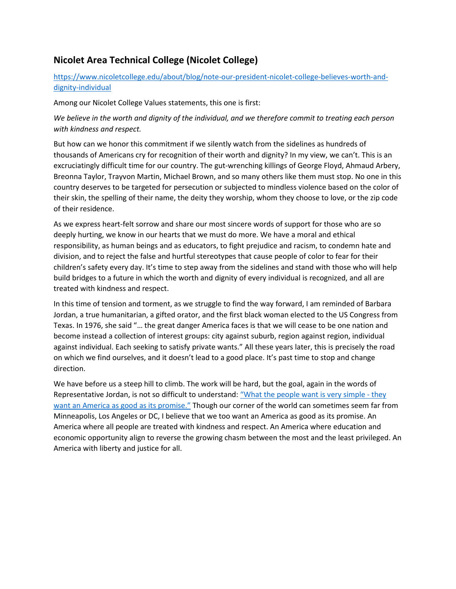## **Nicolet Area Technical College (Nicolet College)**

### [https://www.nicoletcollege.edu/about/blog/note-our-president-nicolet-college-believes-worth-and](https://www.nicoletcollege.edu/about/blog/note-our-president-nicolet-college-believes-worth-and-dignity-individual)[dignity-individual](https://www.nicoletcollege.edu/about/blog/note-our-president-nicolet-college-believes-worth-and-dignity-individual)

Among our Nicolet College Values statements, this one is first:

*We believe in the worth and dignity of the individual, and we therefore commit to treating each person with kindness and respect.*

But how can we honor this commitment if we silently watch from the sidelines as hundreds of thousands of Americans cry for recognition of their worth and dignity? In my view, we can't. This is an excruciatingly difficult time for our country. The gut-wrenching killings of George Floyd, Ahmaud Arbery, Breonna Taylor, Trayvon Martin, Michael Brown, and so many others like them must stop. No one in this country deserves to be targeted for persecution or subjected to mindless violence based on the color of their skin, the spelling of their name, the deity they worship, whom they choose to love, or the zip code of their residence.

As we express heart-felt sorrow and share our most sincere words of support for those who are so deeply hurting, we know in our hearts that we must do more. We have a moral and ethical responsibility, as human beings and as educators, to fight prejudice and racism, to condemn hate and division, and to reject the false and hurtful stereotypes that cause people of color to fear for their children's safety every day. It's time to step away from the sidelines and stand with those who will help build bridges to a future in which the worth and dignity of every individual is recognized, and all are treated with kindness and respect.

In this time of tension and torment, as we struggle to find the way forward, I am reminded of Barbara Jordan, a true humanitarian, a gifted orator, and the first black woman elected to the US Congress from Texas. In 1976, she said "… the great danger America faces is that we will cease to be one nation and become instead a collection of interest groups: city against suburb, region against region, individual against individual. Each seeking to satisfy private wants." All these years later, this is precisely the road on which we find ourselves, and it doesn't lead to a good place. It's past time to stop and change direction.

We have before us a steep hill to climb. The work will be hard, but the goal, again in the words of Representative Jordan, is not so difficult to understand[: "What the people want is very simple -](https://nam04.safelinks.protection.outlook.com/?url=https%3A%2F%2Fwww.inspiringquotes.us%2Fquotes%2FCqOE_TNU9Ary4&data=02%7C01%7Cconor.smyth%40wtcsystem.edu%7Cfea7180a139646379c1908d807e42005%7Ccbb68fc49dc54784bfc5fd3d49dcf8bb%7C1%7C0%7C637268023649632238&sdata=UhlxCAzA2fdwYdB4I5El4HvWVWHFJUYcU%2FGTPet9xOI%3D&reserved=0) they [want an America as good as its promise."](https://nam04.safelinks.protection.outlook.com/?url=https%3A%2F%2Fwww.inspiringquotes.us%2Fquotes%2FCqOE_TNU9Ary4&data=02%7C01%7Cconor.smyth%40wtcsystem.edu%7Cfea7180a139646379c1908d807e42005%7Ccbb68fc49dc54784bfc5fd3d49dcf8bb%7C1%7C0%7C637268023649632238&sdata=UhlxCAzA2fdwYdB4I5El4HvWVWHFJUYcU%2FGTPet9xOI%3D&reserved=0) Though our corner of the world can sometimes seem far from Minneapolis, Los Angeles or DC, I believe that we too want an America as good as its promise. An America where all people are treated with kindness and respect. An America where education and economic opportunity align to reverse the growing chasm between the most and the least privileged. An America with liberty and justice for all.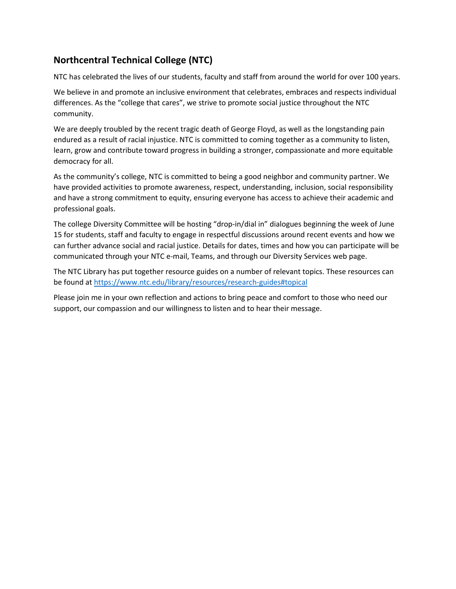# **Northcentral Technical College (NTC)**

NTC has celebrated the lives of our students, faculty and staff from around the world for over 100 years.

We believe in and promote an inclusive environment that celebrates, embraces and respects individual differences. As the "college that cares", we strive to promote social justice throughout the NTC community.

We are deeply troubled by the recent tragic death of George Floyd, as well as the longstanding pain endured as a result of racial injustice. NTC is committed to coming together as a community to listen, learn, grow and contribute toward progress in building a stronger, compassionate and more equitable democracy for all.

As the community's college, NTC is committed to being a good neighbor and community partner. We have provided activities to promote awareness, respect, understanding, inclusion, social responsibility and have a strong commitment to equity, ensuring everyone has access to achieve their academic and professional goals.

The college Diversity Committee will be hosting "drop-in/dial in" dialogues beginning the week of June 15 for students, staff and faculty to engage in respectful discussions around recent events and how we can further advance social and racial justice. Details for dates, times and how you can participate will be communicated through your NTC e-mail, Teams, and through our Diversity Services web page.

The NTC Library has put together resource guides on a number of relevant topics. These resources can be found at [https://www.ntc.edu/library/resources/research-guides#topical](https://nam04.safelinks.protection.outlook.com/?url=https%3A%2F%2Fwww.ntc.edu%2Flibrary%2Fresources%2Fresearch-guides%23topical&data=02%7C01%7Cconor.smyth%40wtcsystem.edu%7C00ea150631f64ec9218708d808933a03%7Ccbb68fc49dc54784bfc5fd3d49dcf8bb%7C1%7C0%7C637268775710465384&sdata=jN4XCFyrsoILPShlnY1uTOvJ2DXokMJnZImpZF3q3u8%3D&reserved=0)

Please join me in your own reflection and actions to bring peace and comfort to those who need our support, our compassion and our willingness to listen and to hear their message.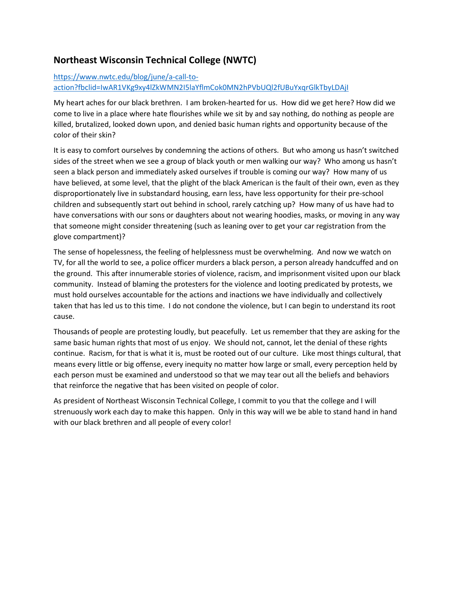## **Northeast Wisconsin Technical College (NWTC)**

### [https://www.nwtc.edu/blog/june/a-call-to](https://www.nwtc.edu/blog/june/a-call-to-action?fbclid=IwAR1VKg9xy4lZkWMN2I5laYflmCok0MN2hPVbUQl2fUBuYxqrGlkTbyLDAjI)[action?fbclid=IwAR1VKg9xy4lZkWMN2I5laYflmCok0MN2hPVbUQl2fUBuYxqrGlkTbyLDAjI](https://www.nwtc.edu/blog/june/a-call-to-action?fbclid=IwAR1VKg9xy4lZkWMN2I5laYflmCok0MN2hPVbUQl2fUBuYxqrGlkTbyLDAjI)

My heart aches for our black brethren. I am broken-hearted for us. How did we get here? How did we come to live in a place where hate flourishes while we sit by and say nothing, do nothing as people are killed, brutalized, looked down upon, and denied basic human rights and opportunity because of the color of their skin?

It is easy to comfort ourselves by condemning the actions of others. But who among us hasn't switched sides of the street when we see a group of black youth or men walking our way? Who among us hasn't seen a black person and immediately asked ourselves if trouble is coming our way? How many of us have believed, at some level, that the plight of the black American is the fault of their own, even as they disproportionately live in substandard housing, earn less, have less opportunity for their pre-school children and subsequently start out behind in school, rarely catching up? How many of us have had to have conversations with our sons or daughters about not wearing hoodies, masks, or moving in any way that someone might consider threatening (such as leaning over to get your car registration from the glove compartment)?

The sense of hopelessness, the feeling of helplessness must be overwhelming. And now we watch on TV, for all the world to see, a police officer murders a black person, a person already handcuffed and on the ground. This after innumerable stories of violence, racism, and imprisonment visited upon our black community. Instead of blaming the protesters for the violence and looting predicated by protests, we must hold ourselves accountable for the actions and inactions we have individually and collectively taken that has led us to this time. I do not condone the violence, but I can begin to understand its root cause.

Thousands of people are protesting loudly, but peacefully. Let us remember that they are asking for the same basic human rights that most of us enjoy. We should not, cannot, let the denial of these rights continue. Racism, for that is what it is, must be rooted out of our culture. Like most things cultural, that means every little or big offense, every inequity no matter how large or small, every perception held by each person must be examined and understood so that we may tear out all the beliefs and behaviors that reinforce the negative that has been visited on people of color.

As president of Northeast Wisconsin Technical College, I commit to you that the college and I will strenuously work each day to make this happen. Only in this way will we be able to stand hand in hand with our black brethren and all people of every color!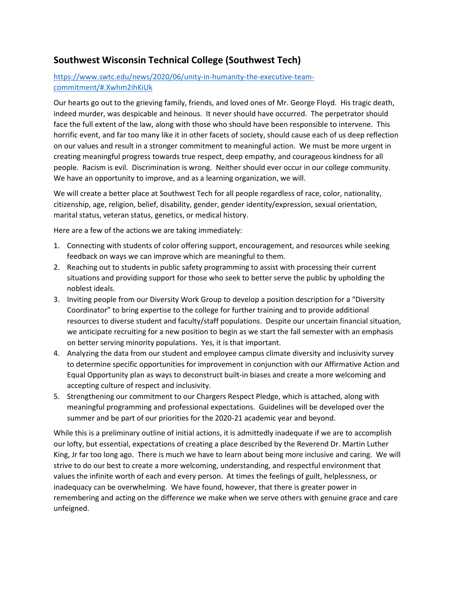### **Southwest Wisconsin Technical College (Southwest Tech)**

### [https://www.swtc.edu/news/2020/06/unity-in-humanity-the-executive-team](https://www.swtc.edu/news/2020/06/unity-in-humanity-the-executive-team-commitment/#.Xwhm2ihKiUk)[commitment/#.Xwhm2ihKiUk](https://www.swtc.edu/news/2020/06/unity-in-humanity-the-executive-team-commitment/#.Xwhm2ihKiUk)

Our hearts go out to the grieving family, friends, and loved ones of Mr. George Floyd. His tragic death, indeed murder, was despicable and heinous. It never should have occurred. The perpetrator should face the full extent of the law, along with those who should have been responsible to intervene. This horrific event, and far too many like it in other facets of society, should cause each of us deep reflection on our values and result in a stronger commitment to meaningful action. We must be more urgent in creating meaningful progress towards true respect, deep empathy, and courageous kindness for all people. Racism is evil. Discrimination is wrong. Neither should ever occur in our college community. We have an opportunity to improve, and as a learning organization, we will.

We will create a better place at Southwest Tech for all people regardless of race, color, nationality, citizenship, age, religion, belief, disability, gender, gender identity/expression, sexual orientation, marital status, veteran status, genetics, or medical history.

Here are a few of the actions we are taking immediately:

- 1. Connecting with students of color offering support, encouragement, and resources while seeking feedback on ways we can improve which are meaningful to them.
- 2. Reaching out to students in public safety programming to assist with processing their current situations and providing support for those who seek to better serve the public by upholding the noblest ideals.
- 3. Inviting people from our Diversity Work Group to develop a position description for a "Diversity Coordinator" to bring expertise to the college for further training and to provide additional resources to diverse student and faculty/staff populations. Despite our uncertain financial situation, we anticipate recruiting for a new position to begin as we start the fall semester with an emphasis on better serving minority populations. Yes, it is that important.
- 4. Analyzing the data from our student and employee campus climate diversity and inclusivity survey to determine specific opportunities for improvement in conjunction with our Affirmative Action and Equal Opportunity plan as ways to deconstruct built-in biases and create a more welcoming and accepting culture of respect and inclusivity.
- 5. Strengthening our commitment to our Chargers Respect Pledge, which is attached, along with meaningful programming and professional expectations. Guidelines will be developed over the summer and be part of our priorities for the 2020-21 academic year and beyond.

While this is a preliminary outline of initial actions, it is admittedly inadequate if we are to accomplish our lofty, but essential, expectations of creating a place described by the Reverend Dr. Martin Luther King, Jr far too long ago. There is much we have to learn about being more inclusive and caring. We will strive to do our best to create a more welcoming, understanding, and respectful environment that values the infinite worth of each and every person. At times the feelings of guilt, helplessness, or inadequacy can be overwhelming. We have found, however, that there is greater power in remembering and acting on the difference we make when we serve others with genuine grace and care unfeigned.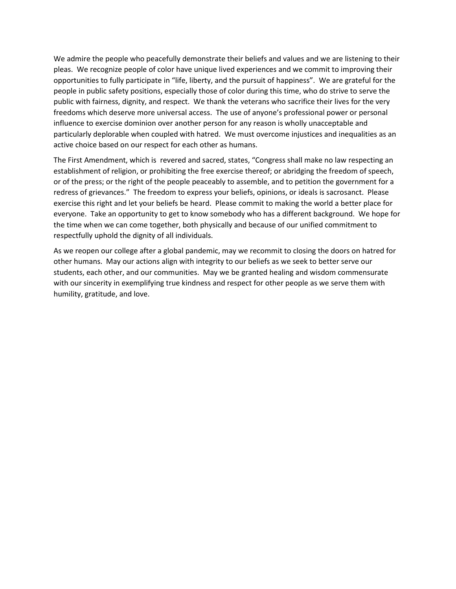We admire the people who peacefully demonstrate their beliefs and values and we are listening to their pleas. We recognize people of color have unique lived experiences and we commit to improving their opportunities to fully participate in "life, liberty, and the pursuit of happiness". We are grateful for the people in public safety positions, especially those of color during this time, who do strive to serve the public with fairness, dignity, and respect. We thank the veterans who sacrifice their lives for the very freedoms which deserve more universal access. The use of anyone's professional power or personal influence to exercise dominion over another person for any reason is wholly unacceptable and particularly deplorable when coupled with hatred. We must overcome injustices and inequalities as an active choice based on our respect for each other as humans.

The First Amendment, which is revered and sacred, states, "Congress shall make no law respecting an establishment of religion, or prohibiting the free exercise thereof; or abridging the freedom of speech, or of the press; or the right of the people peaceably to assemble, and to petition the government for a redress of grievances." The freedom to express your beliefs, opinions, or ideals is sacrosanct. Please exercise this right and let your beliefs be heard. Please commit to making the world a better place for everyone. Take an opportunity to get to know somebody who has a different background. We hope for the time when we can come together, both physically and because of our unified commitment to respectfully uphold the dignity of all individuals.

As we reopen our college after a global pandemic, may we recommit to closing the doors on hatred for other humans. May our actions align with integrity to our beliefs as we seek to better serve our students, each other, and our communities. May we be granted healing and wisdom commensurate with our sincerity in exemplifying true kindness and respect for other people as we serve them with humility, gratitude, and love.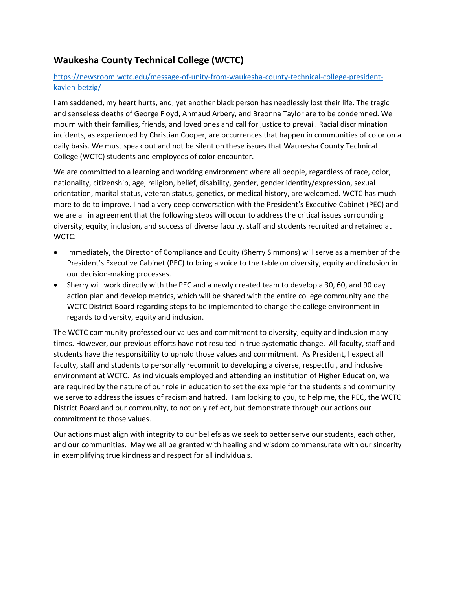## **Waukesha County Technical College (WCTC)**

### [https://newsroom.wctc.edu/message-of-unity-from-waukesha-county-technical-college-president](https://newsroom.wctc.edu/message-of-unity-from-waukesha-county-technical-college-president-kaylen-betzig/)[kaylen-betzig/](https://newsroom.wctc.edu/message-of-unity-from-waukesha-county-technical-college-president-kaylen-betzig/)

I am saddened, my heart hurts, and, yet another black person has needlessly lost their life. The tragic and senseless deaths of George Floyd, Ahmaud Arbery, and Breonna Taylor are to be condemned. We mourn with their families, friends, and loved ones and call for justice to prevail. Racial discrimination incidents, as experienced by Christian Cooper, are occurrences that happen in communities of color on a daily basis. We must speak out and not be silent on these issues that Waukesha County Technical College (WCTC) students and employees of color encounter.

We are committed to a learning and working environment where all people, regardless of race, color, nationality, citizenship, age, religion, belief, disability, gender, gender identity/expression, sexual orientation, marital status, veteran status, genetics, or medical history, are welcomed. WCTC has much more to do to improve. I had a very deep conversation with the President's Executive Cabinet (PEC) and we are all in agreement that the following steps will occur to address the critical issues surrounding diversity, equity, inclusion, and success of diverse faculty, staff and students recruited and retained at WCTC:

- Immediately, the Director of Compliance and Equity (Sherry Simmons) will serve as a member of the President's Executive Cabinet (PEC) to bring a voice to the table on diversity, equity and inclusion in our decision-making processes.
- Sherry will work directly with the PEC and a newly created team to develop a 30, 60, and 90 day action plan and develop metrics, which will be shared with the entire college community and the WCTC District Board regarding steps to be implemented to change the college environment in regards to diversity, equity and inclusion.

The WCTC community professed our values and commitment to diversity, equity and inclusion many times. However, our previous efforts have not resulted in true systematic change. All faculty, staff and students have the responsibility to uphold those values and commitment. As President, I expect all faculty, staff and students to personally recommit to developing a diverse, respectful, and inclusive environment at WCTC. As individuals employed and attending an institution of Higher Education, we are required by the nature of our role in education to set the example for the students and community we serve to address the issues of racism and hatred. I am looking to you, to help me, the PEC, the WCTC District Board and our community, to not only reflect, but demonstrate through our actions our commitment to those values.

Our actions must align with integrity to our beliefs as we seek to better serve our students, each other, and our communities. May we all be granted with healing and wisdom commensurate with our sincerity in exemplifying true kindness and respect for all individuals.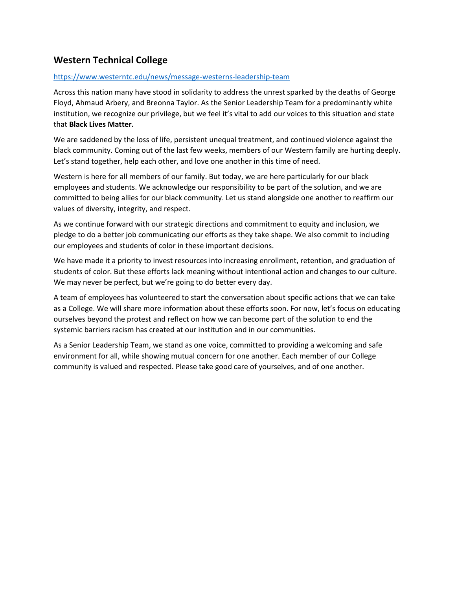## **Western Technical College**

#### <https://www.westerntc.edu/news/message-westerns-leadership-team>

Across this nation many have stood in solidarity to address the unrest sparked by the deaths of George Floyd, Ahmaud Arbery, and Breonna Taylor. As the Senior Leadership Team for a predominantly white institution, we recognize our privilege, but we feel it's vital to add our voices to this situation and state that **Black Lives Matter.**

We are saddened by the loss of life, persistent unequal treatment, and continued violence against the black community. Coming out of the last few weeks, members of our Western family are hurting deeply. Let's stand together, help each other, and love one another in this time of need.

Western is here for all members of our family. But today, we are here particularly for our black employees and students. We acknowledge our responsibility to be part of the solution, and we are committed to being allies for our black community. Let us stand alongside one another to reaffirm our values of diversity, integrity, and respect.

As we continue forward with our strategic directions and commitment to equity and inclusion, we pledge to do a better job communicating our efforts as they take shape. We also commit to including our employees and students of color in these important decisions.

We have made it a priority to invest resources into increasing enrollment, retention, and graduation of students of color. But these efforts lack meaning without intentional action and changes to our culture. We may never be perfect, but we're going to do better every day.

A team of employees has volunteered to start the conversation about specific actions that we can take as a College. We will share more information about these efforts soon. For now, let's focus on educating ourselves beyond the protest and reflect on how we can become part of the solution to end the systemic barriers racism has created at our institution and in our communities.

As a Senior Leadership Team, we stand as one voice, committed to providing a welcoming and safe environment for all, while showing mutual concern for one another. Each member of our College community is valued and respected. Please take good care of yourselves, and of one another.